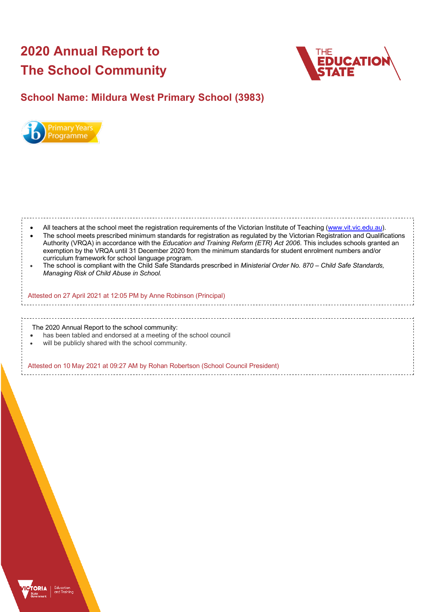# **2020 Annual Report to The School Community**



# **School Name: Mildura West Primary School (3983)**



| All teachers at the school meet the registration requirements of the Victorian Institute of Teaching (www.vit.vic.edu.au).<br>The school meets prescribed minimum standards for registration as regulated by the Victorian Registration and Qualifications<br>Authority (VRQA) in accordance with the Education and Training Reform (ETR) Act 2006. This includes schools granted an<br>exemption by the VRQA until 31 December 2020 from the minimum standards for student enrolment numbers and/or<br>curriculum framework for school language program.<br>The school is compliant with the Child Safe Standards prescribed in Ministerial Order No. 870 – Child Safe Standards,<br>Managing Risk of Child Abuse in School. |
|-------------------------------------------------------------------------------------------------------------------------------------------------------------------------------------------------------------------------------------------------------------------------------------------------------------------------------------------------------------------------------------------------------------------------------------------------------------------------------------------------------------------------------------------------------------------------------------------------------------------------------------------------------------------------------------------------------------------------------|
| Attested on 27 April 2021 at 12:05 PM by Anne Robinson (Principal)                                                                                                                                                                                                                                                                                                                                                                                                                                                                                                                                                                                                                                                            |
|                                                                                                                                                                                                                                                                                                                                                                                                                                                                                                                                                                                                                                                                                                                               |
| The 2020 Annual Report to the school community:<br>has been tabled and endorsed at a meeting of the school council<br>will be publicly shared with the school community.                                                                                                                                                                                                                                                                                                                                                                                                                                                                                                                                                      |
| Attested on 10 May 2021 at 09:27 AM by Rohan Robertson (School Council President)                                                                                                                                                                                                                                                                                                                                                                                                                                                                                                                                                                                                                                             |

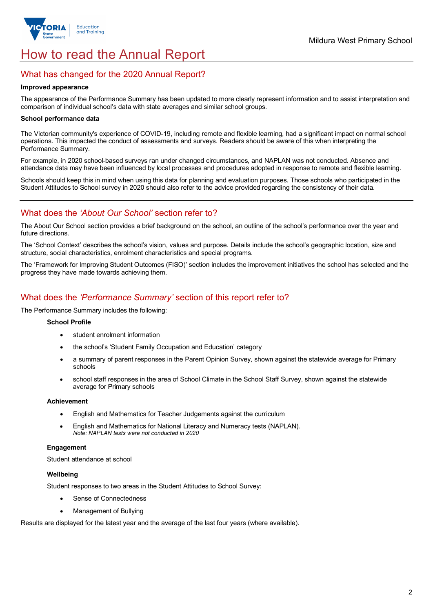

# How to read the Annual Report

## What has changed for the 2020 Annual Report?

#### **Improved appearance**

The appearance of the Performance Summary has been updated to more clearly represent information and to assist interpretation and comparison of individual school's data with state averages and similar school groups.

#### **School performance data**

The Victorian community's experience of COVID-19, including remote and flexible learning, had a significant impact on normal school operations. This impacted the conduct of assessments and surveys. Readers should be aware of this when interpreting the Performance Summary.

For example, in 2020 school-based surveys ran under changed circumstances, and NAPLAN was not conducted. Absence and attendance data may have been influenced by local processes and procedures adopted in response to remote and flexible learning.

Schools should keep this in mind when using this data for planning and evaluation purposes. Those schools who participated in the Student Attitudes to School survey in 2020 should also refer to the advice provided regarding the consistency of their data.

## What does the *'About Our School'* section refer to?

The About Our School section provides a brief background on the school, an outline of the school's performance over the year and future directions.

The 'School Context' describes the school's vision, values and purpose. Details include the school's geographic location, size and structure, social characteristics, enrolment characteristics and special programs.

The 'Framework for Improving Student Outcomes (FISO)' section includes the improvement initiatives the school has selected and the progress they have made towards achieving them.

## What does the *'Performance Summary'* section of this report refer to?

The Performance Summary includes the following:

### **School Profile**

- student enrolment information
- the school's 'Student Family Occupation and Education' category
- a summary of parent responses in the Parent Opinion Survey, shown against the statewide average for Primary schools
- school staff responses in the area of School Climate in the School Staff Survey, shown against the statewide average for Primary schools

### **Achievement**

- English and Mathematics for Teacher Judgements against the curriculum
- English and Mathematics for National Literacy and Numeracy tests (NAPLAN). *Note: NAPLAN tests were not conducted in 2020*

### **Engagement**

Student attendance at school

### **Wellbeing**

Student responses to two areas in the Student Attitudes to School Survey:

- Sense of Connectedness
- Management of Bullying

Results are displayed for the latest year and the average of the last four years (where available).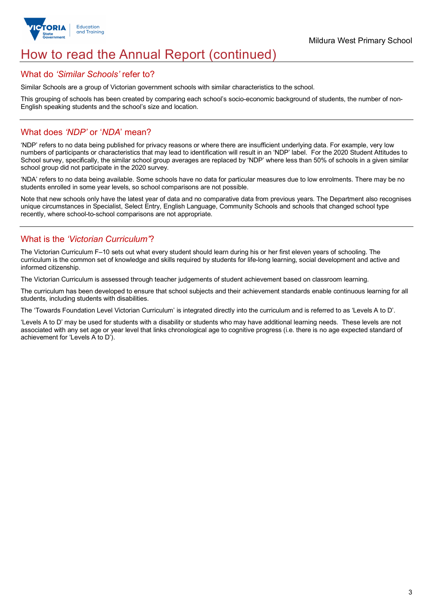

# How to read the Annual Report (continued)

### What do *'Similar Schools'* refer to?

Similar Schools are a group of Victorian government schools with similar characteristics to the school.

This grouping of schools has been created by comparing each school's socio-economic background of students, the number of non-English speaking students and the school's size and location.

## What does *'NDP'* or '*NDA*' mean?

'NDP' refers to no data being published for privacy reasons or where there are insufficient underlying data. For example, very low numbers of participants or characteristics that may lead to identification will result in an 'NDP' label. For the 2020 Student Attitudes to School survey, specifically, the similar school group averages are replaced by 'NDP' where less than 50% of schools in a given similar school group did not participate in the 2020 survey.

'NDA' refers to no data being available. Some schools have no data for particular measures due to low enrolments. There may be no students enrolled in some year levels, so school comparisons are not possible.

Note that new schools only have the latest year of data and no comparative data from previous years. The Department also recognises unique circumstances in Specialist, Select Entry, English Language, Community Schools and schools that changed school type recently, where school-to-school comparisons are not appropriate.

## What is the *'Victorian Curriculum'*?

The Victorian Curriculum F–10 sets out what every student should learn during his or her first eleven years of schooling. The curriculum is the common set of knowledge and skills required by students for life-long learning, social development and active and informed citizenship.

The Victorian Curriculum is assessed through teacher judgements of student achievement based on classroom learning.

The curriculum has been developed to ensure that school subjects and their achievement standards enable continuous learning for all students, including students with disabilities.

The 'Towards Foundation Level Victorian Curriculum' is integrated directly into the curriculum and is referred to as 'Levels A to D'.

'Levels A to D' may be used for students with a disability or students who may have additional learning needs. These levels are not associated with any set age or year level that links chronological age to cognitive progress (i.e. there is no age expected standard of achievement for 'Levels A to D').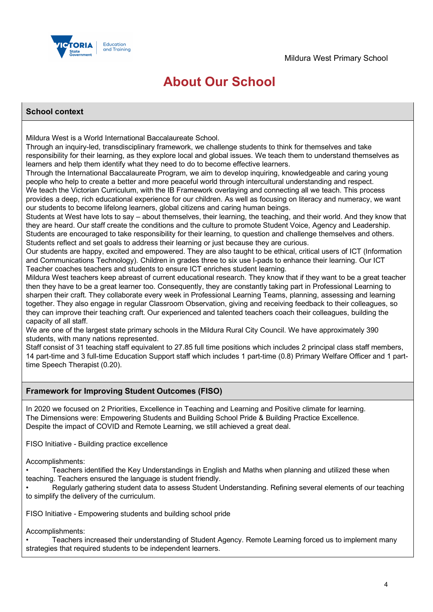

# **About Our School**

### **School context**

Mildura West is a World International Baccalaureate School.

Through an inquiry-led, transdisciplinary framework, we challenge students to think for themselves and take responsibility for their learning, as they explore local and global issues. We teach them to understand themselves as learners and help them identify what they need to do to become effective learners.

Through the International Baccalaureate Program, we aim to develop inquiring, knowledgeable and caring young people who help to create a better and more peaceful world through intercultural understanding and respect. We teach the Victorian Curriculum, with the IB Framework overlaying and connecting all we teach. This process provides a deep, rich educational experience for our children. As well as focusing on literacy and numeracy, we want our students to become lifelong learners, global citizens and caring human beings.

Students at West have lots to say – about themselves, their learning, the teaching, and their world. And they know that they are heard. Our staff create the conditions and the culture to promote Student Voice, Agency and Leadership. Students are encouraged to take responsibility for their learning, to question and challenge themselves and others. Students reflect and set goals to address their learning or just because they are curious.

Our students are happy, excited and empowered. They are also taught to be ethical, critical users of ICT (Information and Communications Technology). Children in grades three to six use I-pads to enhance their learning. Our ICT Teacher coaches teachers and students to ensure ICT enriches student learning.

Mildura West teachers keep abreast of current educational research. They know that if they want to be a great teacher then they have to be a great learner too. Consequently, they are constantly taking part in Professional Learning to sharpen their craft. They collaborate every week in Professional Learning Teams, planning, assessing and learning together. They also engage in regular Classroom Observation, giving and receiving feedback to their colleagues, so they can improve their teaching craft. Our experienced and talented teachers coach their colleagues, building the capacity of all staff.

We are one of the largest state primary schools in the Mildura Rural City Council. We have approximately 390 students, with many nations represented.

Staff consist of 31 teaching staff equivalent to 27.85 full time positions which includes 2 principal class staff members, 14 part-time and 3 full-time Education Support staff which includes 1 part-time (0.8) Primary Welfare Officer and 1 parttime Speech Therapist (0.20).

## **Framework for Improving Student Outcomes (FISO)**

In 2020 we focused on 2 Priorities, Excellence in Teaching and Learning and Positive climate for learning. The Dimensions were: Empowering Students and Building School Pride & Building Practice Excellence. Despite the impact of COVID and Remote Learning, we still achieved a great deal.

FISO Initiative - Building practice excellence

Accomplishments:

• Teachers identified the Key Understandings in English and Maths when planning and utilized these when teaching. Teachers ensured the language is student friendly.

• Regularly gathering student data to assess Student Understanding. Refining several elements of our teaching to simplify the delivery of the curriculum.

FISO Initiative - Empowering students and building school pride

Accomplishments:

• Teachers increased their understanding of Student Agency. Remote Learning forced us to implement many strategies that required students to be independent learners.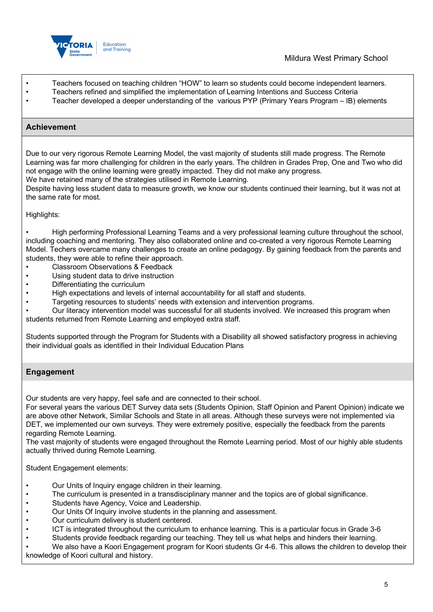

• Teachers focused on teaching children "HOW" to learn so students could become independent learners.

- Teachers refined and simplified the implementation of Learning Intentions and Success Criteria
- Teacher developed a deeper understanding of the various PYP (Primary Years Program IB) elements

## **Achievement**

Due to our very rigorous Remote Learning Model, the vast majority of students still made progress. The Remote Learning was far more challenging for children in the early years. The children in Grades Prep, One and Two who did not engage with the online learning were greatly impacted. They did not make any progress.

We have retained many of the strategies utilised in Remote Learning.

Despite having less student data to measure growth, we know our students continued their learning, but it was not at the same rate for most.

Highlights:

• High performing Professional Learning Teams and a very professional learning culture throughout the school, including coaching and mentoring. They also collaborated online and co-created a very rigorous Remote Learning Model. Techers overcame many challenges to create an online pedagogy. By gaining feedback from the parents and students, they were able to refine their approach.

- Classroom Observations & Feedback
- Using student data to drive instruction
- Differentiating the curriculum
- High expectations and levels of internal accountability for all staff and students.
- Targeting resources to students' needs with extension and intervention programs.

• Our literacy intervention model was successful for all students involved. We increased this program when students returned from Remote Learning and employed extra staff.

Students supported through the Program for Students with a Disability all showed satisfactory progress in achieving their individual goals as identified in their Individual Education Plans

## **Engagement**

Our students are very happy, feel safe and are connected to their school.

For several years the various DET Survey data sets (Students Opinion, Staff Opinion and Parent Opinion) indicate we are above other Network, Similar Schools and State in all areas. Although these surveys were not implemented via DET, we implemented our own surveys. They were extremely positive, especially the feedback from the parents regarding Remote Learning.

The vast majority of students were engaged throughout the Remote Learning period. Most of our highly able students actually thrived during Remote Learning.

Student Engagement elements:

- Our Units of Inquiry engage children in their learning.
- The curriculum is presented in a transdisciplinary manner and the topics are of global significance.
- Students have Agency, Voice and Leadership.
- Our Units Of Inquiry involve students in the planning and assessment.
- Our curriculum delivery is student centered.
- ICT is integrated throughout the curriculum to enhance learning. This is a particular focus in Grade 3-6
- Students provide feedback regarding our teaching. They tell us what helps and hinders their learning.

• We also have a Koori Engagement program for Koori students Gr 4-6. This allows the children to develop their knowledge of Koori cultural and history.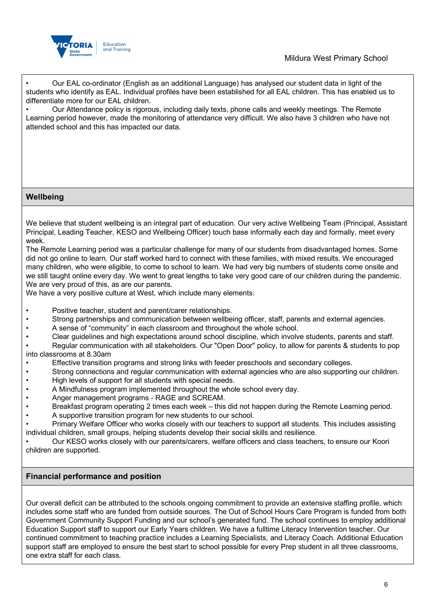

• Our EAL co-ordinator (English as an additional Language) has analysed our student data in light of the students who identify as EAL. Individual profiles have been established for all EAL children. This has enabled us to differentiate more for our EAL children.

• Our Attendance policy is rigorous, including daily texts, phone calls and weekly meetings. The Remote Learning period however, made the monitoring of attendance very difficult. We also have 3 children who have not attended school and this has impacted our data.

## **Wellbeing**

We believe that student wellbeing is an integral part of education. Our very active Wellbeing Team (Principal, Assistant Principal, Leading Teacher, KESO and Wellbeing Officer) touch base informally each day and formally, meet every week.

The Remote Learning period was a particular challenge for many of our students from disadvantaged homes. Some did not go online to learn. Our staff worked hard to connect with these families, with mixed results. We encouraged many children, who were eligible, to come to school to learn. We had very big numbers of students come onsite and we still taught online every day. We went to great lengths to take very good care of our children during the pandemic. We are very proud of this, as are our parents.

We have a very positive culture at West, which include many elements:

- Positive teacher, student and parent/carer relationships.
- Strong partnerships and communication between wellbeing officer, staff, parents and external agencies.
- A sense of "community" in each classroom and throughout the whole school.
- Clear guidelines and high expectations around school discipline, which involve students, parents and staff.

• Regular communication with all stakeholders. Our "Open Door" policy, to allow for parents & students to pop into classrooms at 8.30am

- Effective transition programs and strong links with feeder preschools and secondary colleges.
- Strong connections and regular communication with external agencies who are also supporting our children.
- High levels of support for all students with special needs.
- A Mindfulness program implemented throughout the whole school every day.
- Anger management programs RAGE and SCREAM.
- Breakfast program operating 2 times each week this did not happen during the Remote Learning period.
- A supportive transition program for new students to our school.

• Primary Welfare Officer who works closely with our teachers to support all students. This includes assisting individual children, small groups, helping students develop their social skills and resilience.

• Our KESO works closely with our parents/carers, welfare officers and class teachers, to ensure our Koori children are supported.

## **Financial performance and position**

Our overall deficit can be attributed to the schools ongoing commitment to provide an extensive staffing profile, which includes some staff who are funded from outside sources. The Out of School Hours Care Program is funded from both Government Community Support Funding and our school's generated fund. The school continues to employ additional Education Support staff to support our Early Years children. We have a fulltime Literacy Intervention teacher. Our continued commitment to teaching practice includes a Learning Specialists, and Literacy Coach. Additional Education support staff are employed to ensure the best start to school possible for every Prep student in all three classrooms, one extra staff for each class.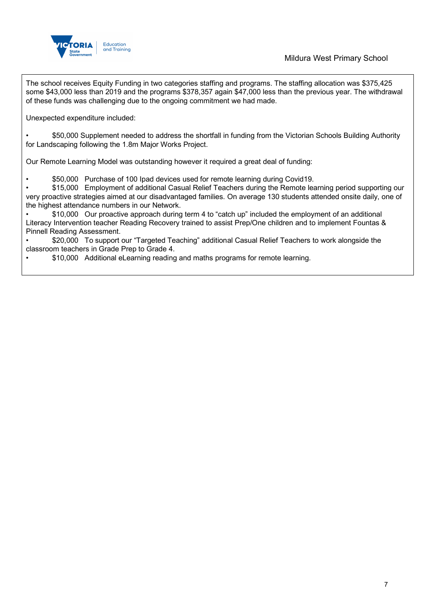

The school receives Equity Funding in two categories staffing and programs. The staffing allocation was \$375,425 some \$43,000 less than 2019 and the programs \$378,357 again \$47,000 less than the previous year. The withdrawal of these funds was challenging due to the ongoing commitment we had made.

Unexpected expenditure included:

• \$50,000 Supplement needed to address the shortfall in funding from the Victorian Schools Building Authority for Landscaping following the 1.8m Major Works Project.

Our Remote Learning Model was outstanding however it required a great deal of funding:

• \$50,000 Purchase of 100 Ipad devices used for remote learning during Covid19.

• \$15,000 Employment of additional Casual Relief Teachers during the Remote learning period supporting our very proactive strategies aimed at our disadvantaged families. On average 130 students attended onsite daily, one of the highest attendance numbers in our Network.

• \$10,000 Our proactive approach during term 4 to "catch up" included the employment of an additional Literacy Intervention teacher Reading Recovery trained to assist Prep/One children and to implement Fountas & Pinnell Reading Assessment.

• \$20,000 To support our "Targeted Teaching" additional Casual Relief Teachers to work alongside the classroom teachers in Grade Prep to Grade 4.

• \$10,000 Additional eLearning reading and maths programs for remote learning.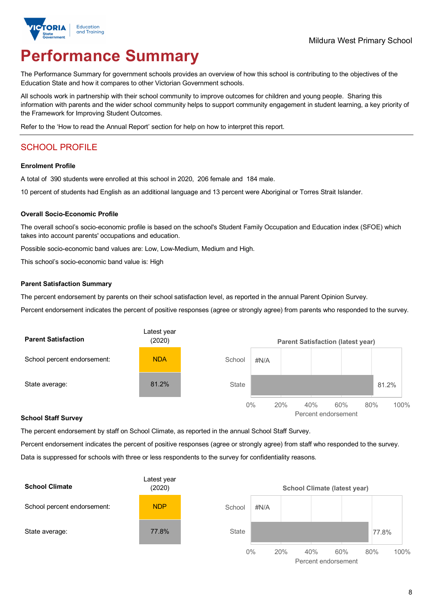

# **Performance Summary**

The Performance Summary for government schools provides an overview of how this school is contributing to the objectives of the Education State and how it compares to other Victorian Government schools.

All schools work in partnership with their school community to improve outcomes for children and young people. Sharing this information with parents and the wider school community helps to support community engagement in student learning, a key priority of the Framework for Improving Student Outcomes.

Refer to the 'How to read the Annual Report' section for help on how to interpret this report.

## SCHOOL PROFILE

### **Enrolment Profile**

A total of 390 students were enrolled at this school in 2020, 206 female and 184 male.

10 percent of students had English as an additional language and 13 percent were Aboriginal or Torres Strait Islander.

#### **Overall Socio-Economic Profile**

The overall school's socio-economic profile is based on the school's Student Family Occupation and Education index (SFOE) which takes into account parents' occupations and education.

Possible socio-economic band values are: Low, Low-Medium, Medium and High.

This school's socio-economic band value is: High

#### **Parent Satisfaction Summary**

The percent endorsement by parents on their school satisfaction level, as reported in the annual Parent Opinion Survey.

Percent endorsement indicates the percent of positive responses (agree or strongly agree) from parents who responded to the survey.



#### **School Staff Survey**

The percent endorsement by staff on School Climate, as reported in the annual School Staff Survey.

Percent endorsement indicates the percent of positive responses (agree or strongly agree) from staff who responded to the survey. Data is suppressed for schools with three or less respondents to the survey for confidentiality reasons.

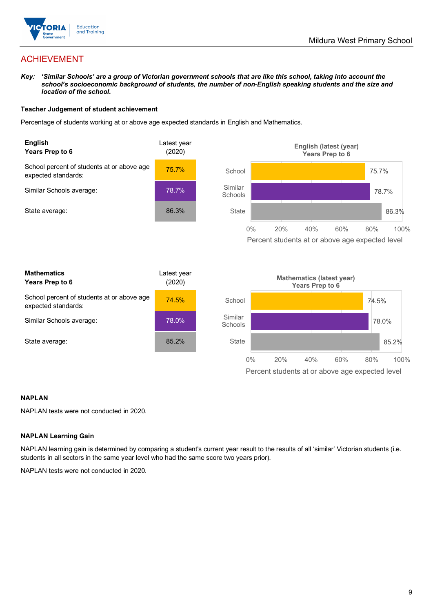

## ACHIEVEMENT

*Key: 'Similar Schools' are a group of Victorian government schools that are like this school, taking into account the*  school's socioeconomic background of students, the number of non-English speaking students and the size and *location of the school.*

### **Teacher Judgement of student achievement**

Percentage of students working at or above age expected standards in English and Mathematics.



### **NAPLAN**

NAPLAN tests were not conducted in 2020.

### **NAPLAN Learning Gain**

NAPLAN learning gain is determined by comparing a student's current year result to the results of all 'similar' Victorian students (i.e. students in all sectors in the same year level who had the same score two years prior).

NAPLAN tests were not conducted in 2020.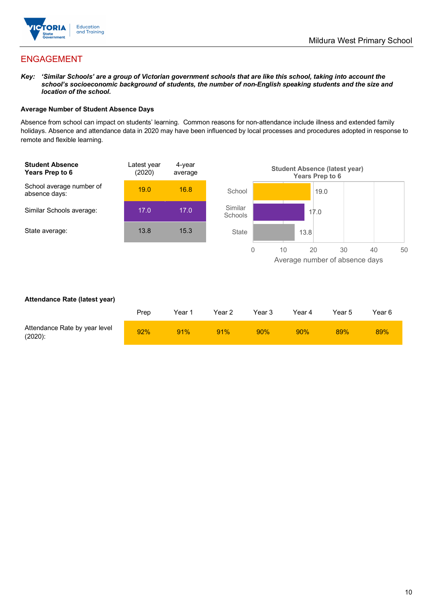

## ENGAGEMENT

*Key: 'Similar Schools' are a group of Victorian government schools that are like this school, taking into account the school's socioeconomic background of students, the number of non-English speaking students and the size and location of the school.*

### **Average Number of Student Absence Days**

Absence from school can impact on students' learning. Common reasons for non-attendance include illness and extended family holidays. Absence and attendance data in 2020 may have been influenced by local processes and procedures adopted in response to remote and flexible learning.



### **Attendance Rate (latest year)**

|                                             | Prep | Year <sup>.</sup> | Year 2 | Year 3 | Year 4 | Year 5     | Year 6 |
|---------------------------------------------|------|-------------------|--------|--------|--------|------------|--------|
| Attendance Rate by year level<br>$(2020)$ : | 92%  | 91%               | 91%    | 90%    | 90%    | <b>89%</b> | 89%    |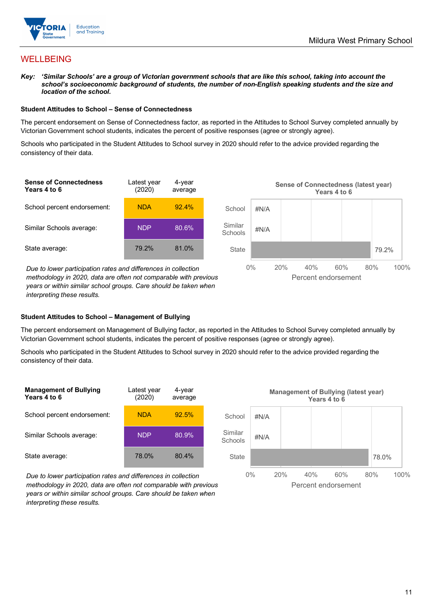

## WELLBEING

*Key: 'Similar Schools' are a group of Victorian government schools that are like this school, taking into account the*  school's socioeconomic background of students, the number of non-English speaking students and the size and *location of the school.*

#### **Student Attitudes to School – Sense of Connectedness**

The percent endorsement on Sense of Connectedness factor, as reported in the Attitudes to School Survey completed annually by Victorian Government school students, indicates the percent of positive responses (agree or strongly agree).

Schools who participated in the Student Attitudes to School survey in 2020 should refer to the advice provided regarding the consistency of their data.



*Due to lower participation rates and differences in collection methodology in 2020, data are often not comparable with previous years or within similar school groups. Care should be taken when interpreting these results.*



### **Student Attitudes to School – Management of Bullying**

The percent endorsement on Management of Bullying factor, as reported in the Attitudes to School Survey completed annually by Victorian Government school students, indicates the percent of positive responses (agree or strongly agree).

Schools who participated in the Student Attitudes to School survey in 2020 should refer to the advice provided regarding the consistency of their data.



*Due to lower participation rates and differences in collection methodology in 2020, data are often not comparable with previous years or within similar school groups. Care should be taken when interpreting these results.*

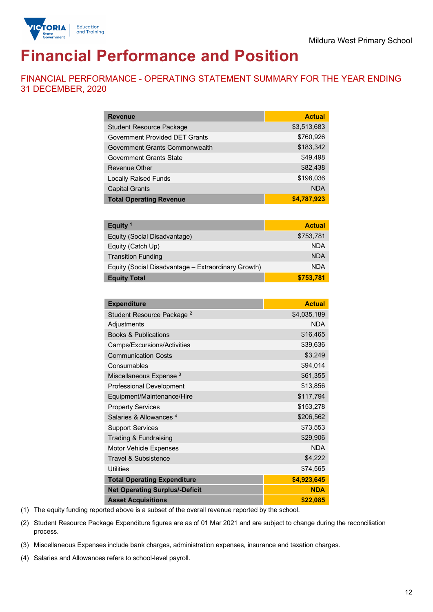

# **Financial Performance and Position**

FINANCIAL PERFORMANCE - OPERATING STATEMENT SUMMARY FOR THE YEAR ENDING 31 DECEMBER, 2020

| <b>Revenue</b>                  | <b>Actual</b> |
|---------------------------------|---------------|
| <b>Student Resource Package</b> | \$3,513,683   |
| Government Provided DET Grants  | \$760,926     |
| Government Grants Commonwealth  | \$183,342     |
| Government Grants State         | \$49,498      |
| Revenue Other                   | \$82,438      |
| <b>Locally Raised Funds</b>     | \$198,036     |
| <b>Capital Grants</b>           | <b>NDA</b>    |
| <b>Total Operating Revenue</b>  | \$4,787,923   |

| Equity <sup>1</sup>                                 | <b>Actual</b> |
|-----------------------------------------------------|---------------|
| Equity (Social Disadvantage)                        | \$753,781     |
| Equity (Catch Up)                                   | <b>NDA</b>    |
| <b>Transition Funding</b>                           | <b>NDA</b>    |
| Equity (Social Disadvantage - Extraordinary Growth) | <b>NDA</b>    |
| <b>Equity Total</b>                                 | \$753,781     |

| <b>Expenditure</b>                    | <b>Actual</b> |
|---------------------------------------|---------------|
| Student Resource Package <sup>2</sup> | \$4,035,189   |
| Adjustments                           | <b>NDA</b>    |
| <b>Books &amp; Publications</b>       | \$16,465      |
| Camps/Excursions/Activities           | \$39,636      |
| <b>Communication Costs</b>            | \$3,249       |
| Consumables                           | \$94,014      |
| Miscellaneous Expense <sup>3</sup>    | \$61,355      |
| <b>Professional Development</b>       | \$13,856      |
| Equipment/Maintenance/Hire            | \$117,794     |
| <b>Property Services</b>              | \$153,278     |
| Salaries & Allowances <sup>4</sup>    | \$206,562     |
| <b>Support Services</b>               | \$73,553      |
| Trading & Fundraising                 | \$29,906      |
| <b>Motor Vehicle Expenses</b>         | <b>NDA</b>    |
| Travel & Subsistence                  | \$4,222       |
| <b>Utilities</b>                      | \$74,565      |
| <b>Total Operating Expenditure</b>    | \$4,923,645   |
| <b>Net Operating Surplus/-Deficit</b> | <b>NDA</b>    |
| <b>Asset Acquisitions</b>             | \$22,085      |

(1) The equity funding reported above is a subset of the overall revenue reported by the school.

(2) Student Resource Package Expenditure figures are as of 01 Mar 2021 and are subject to change during the reconciliation process.

(3) Miscellaneous Expenses include bank charges, administration expenses, insurance and taxation charges.

(4) Salaries and Allowances refers to school-level payroll.